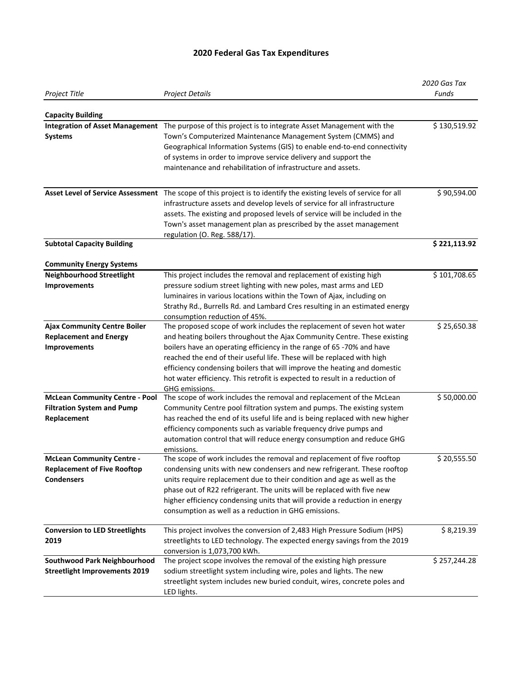## **2020 Federal Gas Tax Expenditures**

|                                                                     |                                                                                                                                                      | 2020 Gas Tax |
|---------------------------------------------------------------------|------------------------------------------------------------------------------------------------------------------------------------------------------|--------------|
| Project Title                                                       | <b>Project Details</b>                                                                                                                               | Funds        |
|                                                                     |                                                                                                                                                      |              |
| <b>Capacity Building</b>                                            | Integration of Asset Management The purpose of this project is to integrate Asset Management with the                                                | \$130,519.92 |
|                                                                     |                                                                                                                                                      |              |
| <b>Systems</b>                                                      | Town's Computerized Maintenance Management System (CMMS) and                                                                                         |              |
|                                                                     | Geographical Information Systems (GIS) to enable end-to-end connectivity                                                                             |              |
|                                                                     | of systems in order to improve service delivery and support the<br>maintenance and rehabilitation of infrastructure and assets.                      |              |
|                                                                     |                                                                                                                                                      |              |
|                                                                     | Asset Level of Service Assessment The scope of this project is to identify the existing levels of service for all                                    | \$90,594.00  |
|                                                                     | infrastructure assets and develop levels of service for all infrastructure                                                                           |              |
|                                                                     | assets. The existing and proposed levels of service will be included in the                                                                          |              |
|                                                                     | Town's asset management plan as prescribed by the asset management                                                                                   |              |
|                                                                     | regulation (O. Reg. 588/17).                                                                                                                         |              |
| <b>Subtotal Capacity Building</b>                                   |                                                                                                                                                      | \$221,113.92 |
|                                                                     |                                                                                                                                                      |              |
| <b>Community Energy Systems</b><br><b>Neighbourhood Streetlight</b> |                                                                                                                                                      | \$101,708.65 |
|                                                                     | This project includes the removal and replacement of existing high                                                                                   |              |
| Improvements                                                        | pressure sodium street lighting with new poles, mast arms and LED                                                                                    |              |
|                                                                     | luminaires in various locations within the Town of Ajax, including on<br>Strathy Rd., Burrells Rd. and Lambard Cres resulting in an estimated energy |              |
|                                                                     | consumption reduction of 45%.                                                                                                                        |              |
| <b>Ajax Community Centre Boiler</b>                                 | The proposed scope of work includes the replacement of seven hot water                                                                               | \$25,650.38  |
| <b>Replacement and Energy</b>                                       | and heating boilers throughout the Ajax Community Centre. These existing                                                                             |              |
| Improvements                                                        | boilers have an operating efficiency in the range of 65 -70% and have                                                                                |              |
|                                                                     | reached the end of their useful life. These will be replaced with high                                                                               |              |
|                                                                     | efficiency condensing boilers that will improve the heating and domestic                                                                             |              |
|                                                                     | hot water efficiency. This retrofit is expected to result in a reduction of                                                                          |              |
|                                                                     | GHG emissions.                                                                                                                                       |              |
| <b>McLean Community Centre - Pool</b>                               | The scope of work includes the removal and replacement of the McLean                                                                                 | \$50,000.00  |
| <b>Filtration System and Pump</b>                                   | Community Centre pool filtration system and pumps. The existing system                                                                               |              |
| Replacement                                                         | has reached the end of its useful life and is being replaced with new higher                                                                         |              |
|                                                                     | efficiency components such as variable frequency drive pumps and                                                                                     |              |
|                                                                     | automation control that will reduce energy consumption and reduce GHG                                                                                |              |
|                                                                     | emissions.                                                                                                                                           |              |
| <b>McLean Community Centre -</b>                                    | The scope of work includes the removal and replacement of five rooftop                                                                               | \$20,555.50  |
| <b>Replacement of Five Rooftop</b>                                  | condensing units with new condensers and new refrigerant. These rooftop                                                                              |              |
| <b>Condensers</b>                                                   | units require replacement due to their condition and age as well as the                                                                              |              |
|                                                                     | phase out of R22 refrigerant. The units will be replaced with five new                                                                               |              |
|                                                                     | higher efficiency condensing units that will provide a reduction in energy                                                                           |              |
|                                                                     | consumption as well as a reduction in GHG emissions.                                                                                                 |              |
| <b>Conversion to LED Streetlights</b>                               | This project involves the conversion of 2,483 High Pressure Sodium (HPS)                                                                             | \$8,219.39   |
| 2019                                                                | streetlights to LED technology. The expected energy savings from the 2019                                                                            |              |
|                                                                     | conversion is 1,073,700 kWh.                                                                                                                         |              |
| Southwood Park Neighbourhood                                        | The project scope involves the removal of the existing high pressure                                                                                 | \$257,244.28 |
| <b>Streetlight Improvements 2019</b>                                | sodium streetlight system including wire, poles and lights. The new                                                                                  |              |
|                                                                     | streetlight system includes new buried conduit, wires, concrete poles and                                                                            |              |
|                                                                     | LED lights.                                                                                                                                          |              |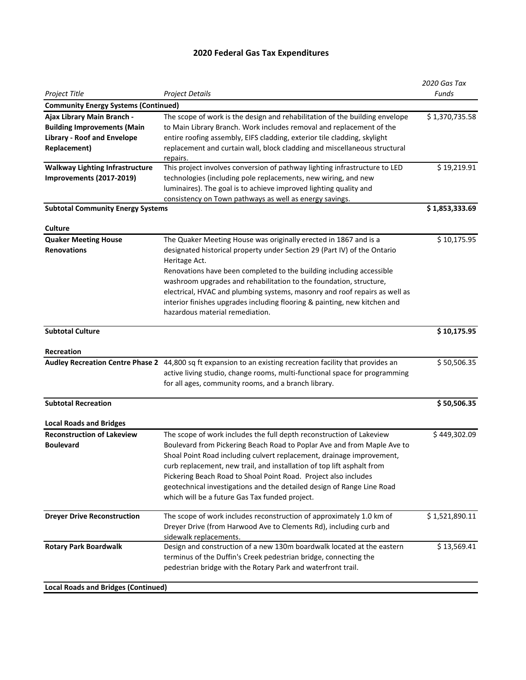## **2020 Federal Gas Tax Expenditures**

|                                                                                                                               |                                                                                                                                                                                                                                                                                                                                                                                                                                                                                                           | 2020 Gas Tax   |
|-------------------------------------------------------------------------------------------------------------------------------|-----------------------------------------------------------------------------------------------------------------------------------------------------------------------------------------------------------------------------------------------------------------------------------------------------------------------------------------------------------------------------------------------------------------------------------------------------------------------------------------------------------|----------------|
| Project Title                                                                                                                 | <b>Project Details</b>                                                                                                                                                                                                                                                                                                                                                                                                                                                                                    | Funds          |
| <b>Community Energy Systems (Continued)</b>                                                                                   |                                                                                                                                                                                                                                                                                                                                                                                                                                                                                                           |                |
| Ajax Library Main Branch -<br><b>Building Improvements (Main</b><br><b>Library - Roof and Envelope</b><br><b>Replacement)</b> | The scope of work is the design and rehabilitation of the building envelope<br>to Main Library Branch. Work includes removal and replacement of the<br>entire roofing assembly, EIFS cladding, exterior tile cladding, skylight<br>replacement and curtain wall, block cladding and miscellaneous structural<br>repairs.                                                                                                                                                                                  | \$1,370,735.58 |
| <b>Walkway Lighting Infrastructure</b><br>Improvements (2017-2019)                                                            | This project involves conversion of pathway lighting infrastructure to LED<br>technologies (including pole replacements, new wiring, and new<br>luminaires). The goal is to achieve improved lighting quality and<br>consistency on Town pathways as well as energy savings.                                                                                                                                                                                                                              | \$19,219.91    |
| <b>Subtotal Community Energy Systems</b>                                                                                      |                                                                                                                                                                                                                                                                                                                                                                                                                                                                                                           | \$1,853,333.69 |
|                                                                                                                               |                                                                                                                                                                                                                                                                                                                                                                                                                                                                                                           |                |
| Culture<br><b>Quaker Meeting House</b><br><b>Renovations</b>                                                                  | The Quaker Meeting House was originally erected in 1867 and is a<br>designated historical property under Section 29 (Part IV) of the Ontario<br>Heritage Act.<br>Renovations have been completed to the building including accessible<br>washroom upgrades and rehabilitation to the foundation, structure,<br>electrical, HVAC and plumbing systems, masonry and roof repairs as well as<br>interior finishes upgrades including flooring & painting, new kitchen and<br>hazardous material remediation. | \$10,175.95    |
| <b>Subtotal Culture</b>                                                                                                       |                                                                                                                                                                                                                                                                                                                                                                                                                                                                                                           | \$10,175.95    |
| Recreation                                                                                                                    |                                                                                                                                                                                                                                                                                                                                                                                                                                                                                                           |                |
|                                                                                                                               | Audley Recreation Centre Phase 2 44,800 sq ft expansion to an existing recreation facility that provides an<br>active living studio, change rooms, multi-functional space for programming<br>for all ages, community rooms, and a branch library.                                                                                                                                                                                                                                                         | \$50,506.35    |
| <b>Subtotal Recreation</b>                                                                                                    |                                                                                                                                                                                                                                                                                                                                                                                                                                                                                                           | \$50,506.35    |
| <b>Local Roads and Bridges</b>                                                                                                |                                                                                                                                                                                                                                                                                                                                                                                                                                                                                                           |                |
| <b>Reconstruction of Lakeview</b><br><b>Boulevard</b>                                                                         | The scope of work includes the full depth reconstruction of Lakeview<br>Boulevard from Pickering Beach Road to Poplar Ave and from Maple Ave to<br>Shoal Point Road including culvert replacement, drainage improvement,<br>curb replacement, new trail, and installation of top lift asphalt from<br>Pickering Beach Road to Shoal Point Road. Project also includes<br>geotechnical investigations and the detailed design of Range Line Road<br>which will be a future Gas Tax funded project.         | \$449,302.09   |
| <b>Dreyer Drive Reconstruction</b>                                                                                            | The scope of work includes reconstruction of approximately 1.0 km of<br>Dreyer Drive (from Harwood Ave to Clements Rd), including curb and<br>sidewalk replacements.                                                                                                                                                                                                                                                                                                                                      | \$1,521,890.11 |
| <b>Rotary Park Boardwalk</b>                                                                                                  | Design and construction of a new 130m boardwalk located at the eastern<br>terminus of the Duffin's Creek pedestrian bridge, connecting the<br>pedestrian bridge with the Rotary Park and waterfront trail.                                                                                                                                                                                                                                                                                                | \$13,569.41    |
| <b>Local Roads and Bridges (Continued)</b>                                                                                    |                                                                                                                                                                                                                                                                                                                                                                                                                                                                                                           |                |